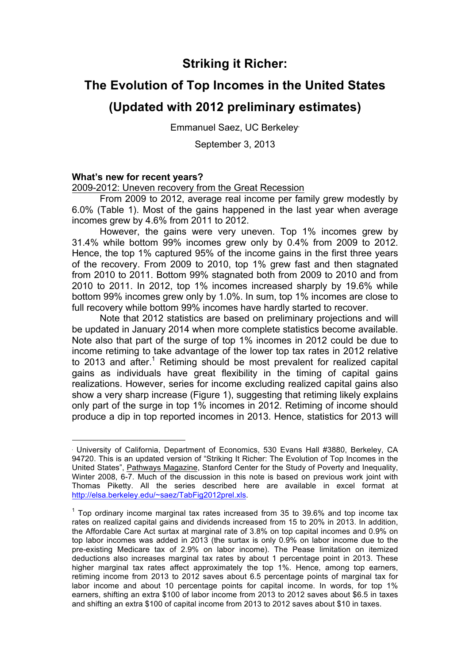## **Striking it Richer:**

# **The Evolution of Top Incomes in the United States**

# **(Updated with 2012 preliminary estimates)**

Emmanuel Saez, UC Berkeley•

September 3, 2013

### **What's new for recent years?**

 $\overline{a}$ 

2009-2012: Uneven recovery from the Great Recession

From 2009 to 2012, average real income per family grew modestly by 6.0% (Table 1). Most of the gains happened in the last year when average incomes grew by 4.6% from 2011 to 2012.

However, the gains were very uneven. Top 1% incomes grew by 31.4% while bottom 99% incomes grew only by 0.4% from 2009 to 2012. Hence, the top 1% captured 95% of the income gains in the first three years of the recovery. From 2009 to 2010, top 1% grew fast and then stagnated from 2010 to 2011. Bottom 99% stagnated both from 2009 to 2010 and from 2010 to 2011. In 2012, top 1% incomes increased sharply by 19.6% while bottom 99% incomes grew only by 1.0%. In sum, top 1% incomes are close to full recovery while bottom 99% incomes have hardly started to recover.

Note that 2012 statistics are based on preliminary projections and will be updated in January 2014 when more complete statistics become available. Note also that part of the surge of top 1% incomes in 2012 could be due to income retiming to take advantage of the lower top tax rates in 2012 relative to 2013 and after.<sup>1</sup> Retiming should be most prevalent for realized capital gains as individuals have great flexibility in the timing of capital gains realizations. However, series for income excluding realized capital gains also show a very sharp increase (Figure 1), suggesting that retiming likely explains only part of the surge in top 1% incomes in 2012. Retiming of income should produce a dip in top reported incomes in 2013. Hence, statistics for 2013 will

<sup>•</sup> University of California, Department of Economics, 530 Evans Hall #3880, Berkeley, CA 94720. This is an updated version of "Striking It Richer: The Evolution of Top Incomes in the United States", Pathways Magazine, Stanford Center for the Study of Poverty and Inequality, Winter 2008, 6-7. Much of the discussion in this note is based on previous work joint with Thomas Piketty. All the series described here are available in excel format at http://elsa.berkeley.edu/~saez/TabFig2012prel.xls.

 $1$  Top ordinary income marginal tax rates increased from 35 to 39.6% and top income tax rates on realized capital gains and dividends increased from 15 to 20% in 2013. In addition, the Affordable Care Act surtax at marginal rate of 3.8% on top capital incomes and 0.9% on top labor incomes was added in 2013 (the surtax is only 0.9% on labor income due to the pre-existing Medicare tax of 2.9% on labor income). The Pease limitation on itemized deductions also increases marginal tax rates by about 1 percentage point in 2013. These higher marginal tax rates affect approximately the top 1%. Hence, among top earners, retiming income from 2013 to 2012 saves about 6.5 percentage points of marginal tax for labor income and about 10 percentage points for capital income. In words, for top 1% earners, shifting an extra \$100 of labor income from 2013 to 2012 saves about \$6.5 in taxes and shifting an extra \$100 of capital income from 2013 to 2012 saves about \$10 in taxes.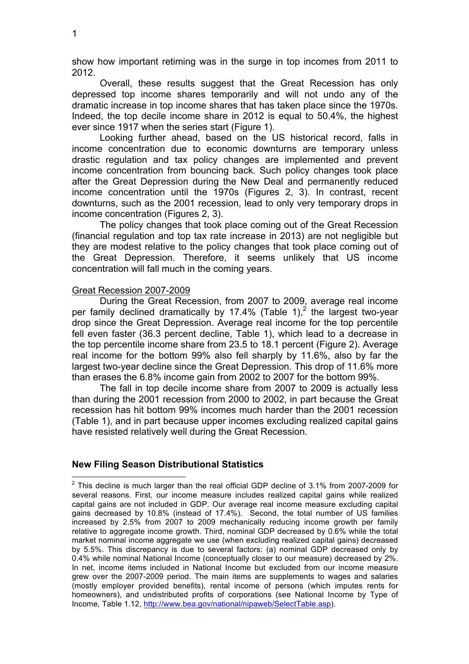show how important retiming was in the surge in top incomes from 2011 to 2012.

Overall, these results suggest that the Great Recession has only depressed top income shares temporarily and will not undo any of the dramatic increase in top income shares that has taken place since the 1970s. Indeed, the top decile income share in 2012 is equal to 50.4%, the highest ever since 1917 when the series start (Figure 1).

Looking further ahead, based on the US historical record, falls in income concentration due to economic downturns are temporary unless drastic regulation and tax policy changes are implemented and prevent income concentration from bouncing back. Such policy changes took place after the Great Depression during the New Deal and permanently reduced income concentration until the 1970s (Figures 2, 3). In contrast, recent downturns, such as the 2001 recession, lead to only very temporary drops in income concentration (Figures 2, 3).

The policy changes that took place coming out of the Great Recession (financial regulation and top tax rate increase in 2013) are not negligible but they are modest relative to the policy changes that took place coming out of the Great Depression. Therefore, it seems unlikely that US income concentration will fall much in the coming years.

#### Great Recession 2007-2009

During the Great Recession, from 2007 to 2009, average real income per family declined dramatically by 17.4% (Table 1),<sup>2</sup> the largest two-year drop since the Great Depression. Average real income for the top percentile fell even faster (36.3 percent decline, Table 1), which lead to a decrease in the top percentile income share from 23.5 to 18.1 percent (Figure 2). Average real income for the bottom 99% also fell sharply by 11.6%, also by far the largest two-year decline since the Great Depression. This drop of 11.6% more than erases the 6.8% income gain from 2002 to 2007 for the bottom 99%.

The fall in top decile income share from 2007 to 2009 is actually less than during the 2001 recession from 2000 to 2002, in part because the Great recession has hit bottom 99% incomes much harder than the 2001 recession (Table 1), and in part because upper incomes excluding realized capital gains have resisted relatively well during the Great Recession.

#### **New Filing Season Distributional Statistics**

 $2$  This decline is much larger than the real official GDP decline of 3.1% from 2007-2009 for several reasons. First, our income measure includes realized capital gains while realized capital gains are not included in GDP. Our average real income measure excluding capital gains decreased by 10.8% (instead of 17.4%). Second, the total number of US families increased by 2.5% from 2007 to 2009 mechanically reducing income growth per family relative to aggregate income growth. Third, nominal GDP decreased by 0.6% while the total market nominal income aggregate we use (when excluding realized capital gains) decreased by 5.5%. This discrepancy is due to several factors: (a) nominal GDP decreased only by 0.4% while nominal National Income (conceptually closer to our measure) decreased by 2%. In net, income items included in National Income but excluded from our income measure grew over the 2007-2009 period. The main items are supplements to wages and salaries (mostly employer provided benefits), rental income of persons (which imputes rents for homeowners), and undistributed profits of corporations (see National Income by Type of Income, Table 1.12, http://www.bea.gov/national/nipaweb/SelectTable.asp).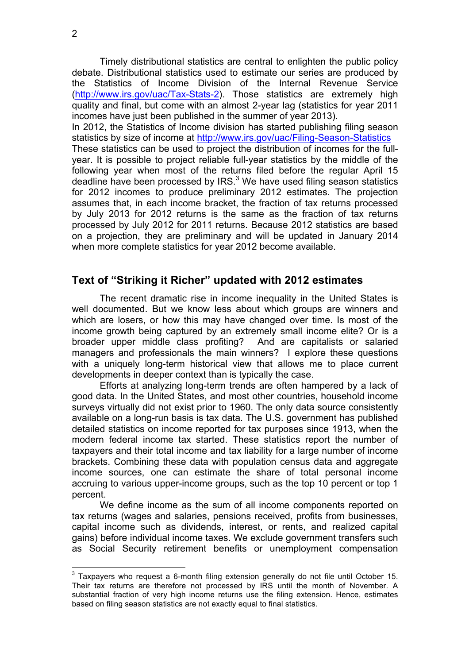Timely distributional statistics are central to enlighten the public policy debate. Distributional statistics used to estimate our series are produced by the Statistics of Income Division of the Internal Revenue Service (http://www.irs.gov/uac/Tax-Stats-2). Those statistics are extremely high quality and final, but come with an almost 2-year lag (statistics for year 2011 incomes have just been published in the summer of year 2013).

In 2012, the Statistics of Income division has started publishing filing season statistics by size of income at http://www.irs.gov/uac/Filing-Season-Statistics These statistics can be used to project the distribution of incomes for the fullyear. It is possible to project reliable full-year statistics by the middle of the following year when most of the returns filed before the regular April 15 deadline have been processed by IRS. $3$  We have used filing season statistics for 2012 incomes to produce preliminary 2012 estimates. The projection assumes that, in each income bracket, the fraction of tax returns processed by July 2013 for 2012 returns is the same as the fraction of tax returns processed by July 2012 for 2011 returns. Because 2012 statistics are based on a projection, they are preliminary and will be updated in January 2014 when more complete statistics for year 2012 become available.

### **Text of "Striking it Richer" updated with 2012 estimates**

The recent dramatic rise in income inequality in the United States is well documented. But we know less about which groups are winners and which are losers, or how this may have changed over time. Is most of the income growth being captured by an extremely small income elite? Or is a broader upper middle class profiting? And are capitalists or salaried managers and professionals the main winners? I explore these questions with a uniquely long-term historical view that allows me to place current developments in deeper context than is typically the case.

Efforts at analyzing long-term trends are often hampered by a lack of good data. In the United States, and most other countries, household income surveys virtually did not exist prior to 1960. The only data source consistently available on a long-run basis is tax data. The U.S. government has published detailed statistics on income reported for tax purposes since 1913, when the modern federal income tax started. These statistics report the number of taxpayers and their total income and tax liability for a large number of income brackets. Combining these data with population census data and aggregate income sources, one can estimate the share of total personal income accruing to various upper-income groups, such as the top 10 percent or top 1 percent.

We define income as the sum of all income components reported on tax returns (wages and salaries, pensions received, profits from businesses, capital income such as dividends, interest, or rents, and realized capital gains) before individual income taxes. We exclude government transfers such as Social Security retirement benefits or unemployment compensation

 $3$  Taxpayers who request a 6-month filing extension generally do not file until October 15. Their tax returns are therefore not processed by IRS until the month of November. A substantial fraction of very high income returns use the filing extension. Hence, estimates based on filing season statistics are not exactly equal to final statistics.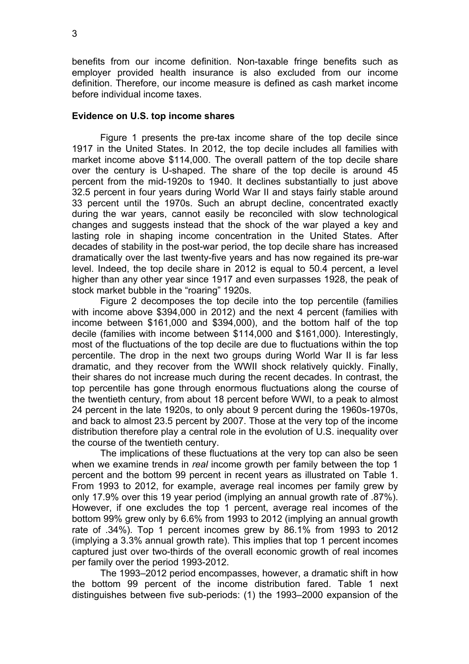benefits from our income definition. Non-taxable fringe benefits such as employer provided health insurance is also excluded from our income definition. Therefore, our income measure is defined as cash market income before individual income taxes.

#### **Evidence on U.S. top income shares**

Figure 1 presents the pre-tax income share of the top decile since 1917 in the United States. In 2012, the top decile includes all families with market income above \$114,000. The overall pattern of the top decile share over the century is U-shaped. The share of the top decile is around 45 percent from the mid-1920s to 1940. It declines substantially to just above 32.5 percent in four years during World War II and stays fairly stable around 33 percent until the 1970s. Such an abrupt decline, concentrated exactly during the war years, cannot easily be reconciled with slow technological changes and suggests instead that the shock of the war played a key and lasting role in shaping income concentration in the United States. After decades of stability in the post-war period, the top decile share has increased dramatically over the last twenty-five years and has now regained its pre-war level. Indeed, the top decile share in 2012 is equal to 50.4 percent, a level higher than any other year since 1917 and even surpasses 1928, the peak of stock market bubble in the "roaring" 1920s.

Figure 2 decomposes the top decile into the top percentile (families with income above \$394,000 in 2012) and the next 4 percent (families with income between \$161,000 and \$394,000), and the bottom half of the top decile (families with income between \$114,000 and \$161,000). Interestingly, most of the fluctuations of the top decile are due to fluctuations within the top percentile. The drop in the next two groups during World War II is far less dramatic, and they recover from the WWII shock relatively quickly. Finally, their shares do not increase much during the recent decades. In contrast, the top percentile has gone through enormous fluctuations along the course of the twentieth century, from about 18 percent before WWI, to a peak to almost 24 percent in the late 1920s, to only about 9 percent during the 1960s-1970s, and back to almost 23.5 percent by 2007. Those at the very top of the income distribution therefore play a central role in the evolution of U.S. inequality over the course of the twentieth century.

The implications of these fluctuations at the very top can also be seen when we examine trends in *real* income growth per family between the top 1 percent and the bottom 99 percent in recent years as illustrated on Table 1. From 1993 to 2012, for example, average real incomes per family grew by only 17.9% over this 19 year period (implying an annual growth rate of .87%). However, if one excludes the top 1 percent, average real incomes of the bottom 99% grew only by 6.6% from 1993 to 2012 (implying an annual growth rate of .34%). Top 1 percent incomes grew by 86.1% from 1993 to 2012 (implying a 3.3% annual growth rate). This implies that top 1 percent incomes captured just over two-thirds of the overall economic growth of real incomes per family over the period 1993-2012.

The 1993–2012 period encompasses, however, a dramatic shift in how the bottom 99 percent of the income distribution fared. Table 1 next distinguishes between five sub-periods: (1) the 1993–2000 expansion of the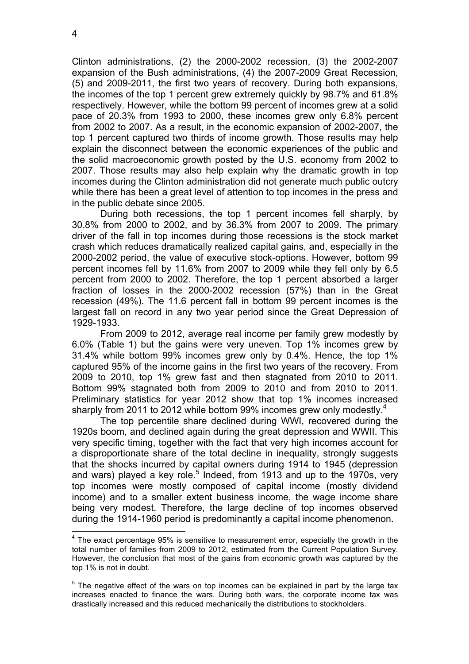Clinton administrations, (2) the 2000-2002 recession, (3) the 2002-2007 expansion of the Bush administrations, (4) the 2007-2009 Great Recession, (5) and 2009-2011, the first two years of recovery. During both expansions, the incomes of the top 1 percent grew extremely quickly by 98.7% and 61.8% respectively. However, while the bottom 99 percent of incomes grew at a solid pace of 20.3% from 1993 to 2000, these incomes grew only 6.8% percent from 2002 to 2007. As a result, in the economic expansion of 2002-2007, the top 1 percent captured two thirds of income growth. Those results may help explain the disconnect between the economic experiences of the public and the solid macroeconomic growth posted by the U.S. economy from 2002 to 2007. Those results may also help explain why the dramatic growth in top incomes during the Clinton administration did not generate much public outcry while there has been a great level of attention to top incomes in the press and in the public debate since 2005.

During both recessions, the top 1 percent incomes fell sharply, by 30.8% from 2000 to 2002, and by 36.3% from 2007 to 2009. The primary driver of the fall in top incomes during those recessions is the stock market crash which reduces dramatically realized capital gains, and, especially in the 2000-2002 period, the value of executive stock-options. However, bottom 99 percent incomes fell by 11.6% from 2007 to 2009 while they fell only by 6.5 percent from 2000 to 2002. Therefore, the top 1 percent absorbed a larger fraction of losses in the 2000-2002 recession (57%) than in the Great recession (49%). The 11.6 percent fall in bottom 99 percent incomes is the largest fall on record in any two year period since the Great Depression of 1929-1933.

From 2009 to 2012, average real income per family grew modestly by 6.0% (Table 1) but the gains were very uneven. Top 1% incomes grew by 31.4% while bottom 99% incomes grew only by 0.4%. Hence, the top 1% captured 95% of the income gains in the first two years of the recovery. From 2009 to 2010, top 1% grew fast and then stagnated from 2010 to 2011. Bottom 99% stagnated both from 2009 to 2010 and from 2010 to 2011. Preliminary statistics for year 2012 show that top 1% incomes increased sharply from 2011 to 2012 while bottom 99% incomes grew only modestly.<sup>4</sup>

The top percentile share declined during WWI, recovered during the 1920s boom, and declined again during the great depression and WWII. This very specific timing, together with the fact that very high incomes account for a disproportionate share of the total decline in inequality, strongly suggests that the shocks incurred by capital owners during 1914 to 1945 (depression and wars) played a key role.<sup>5</sup> Indeed, from 1913 and up to the 1970s, very top incomes were mostly composed of capital income (mostly dividend income) and to a smaller extent business income, the wage income share being very modest. Therefore, the large decline of top incomes observed during the 1914-1960 period is predominantly a capital income phenomenon.

 $4$  The exact percentage 95% is sensitive to measurement error, especially the growth in the total number of families from 2009 to 2012, estimated from the Current Population Survey. However, the conclusion that most of the gains from economic growth was captured by the top 1% is not in doubt.

 $5$  The negative effect of the wars on top incomes can be explained in part by the large tax increases enacted to finance the wars. During both wars, the corporate income tax was drastically increased and this reduced mechanically the distributions to stockholders.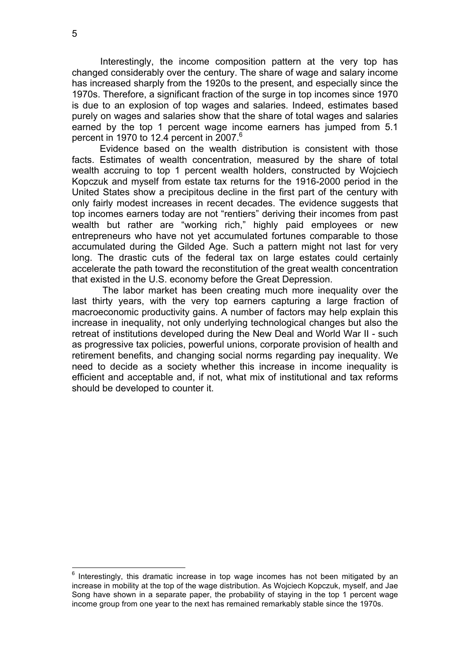Interestingly, the income composition pattern at the very top has changed considerably over the century. The share of wage and salary income has increased sharply from the 1920s to the present, and especially since the 1970s. Therefore, a significant fraction of the surge in top incomes since 1970 is due to an explosion of top wages and salaries. Indeed, estimates based purely on wages and salaries show that the share of total wages and salaries earned by the top 1 percent wage income earners has jumped from 5.1 percent in 1970 to 12.4 percent in 2007. 6

Evidence based on the wealth distribution is consistent with those facts. Estimates of wealth concentration, measured by the share of total wealth accruing to top 1 percent wealth holders, constructed by Wojciech Kopczuk and myself from estate tax returns for the 1916-2000 period in the United States show a precipitous decline in the first part of the century with only fairly modest increases in recent decades. The evidence suggests that top incomes earners today are not "rentiers" deriving their incomes from past wealth but rather are "working rich," highly paid employees or new entrepreneurs who have not yet accumulated fortunes comparable to those accumulated during the Gilded Age. Such a pattern might not last for very long. The drastic cuts of the federal tax on large estates could certainly accelerate the path toward the reconstitution of the great wealth concentration that existed in the U.S. economy before the Great Depression.

The labor market has been creating much more inequality over the last thirty years, with the very top earners capturing a large fraction of macroeconomic productivity gains. A number of factors may help explain this increase in inequality, not only underlying technological changes but also the retreat of institutions developed during the New Deal and World War II - such as progressive tax policies, powerful unions, corporate provision of health and retirement benefits, and changing social norms regarding pay inequality. We need to decide as a society whether this increase in income inequality is efficient and acceptable and, if not, what mix of institutional and tax reforms should be developed to counter it.

 $6$  Interestingly, this dramatic increase in top wage incomes has not been mitigated by an increase in mobility at the top of the wage distribution. As Wojciech Kopczuk, myself, and Jae Song have shown in a separate paper, the probability of staying in the top 1 percent wage income group from one year to the next has remained remarkably stable since the 1970s.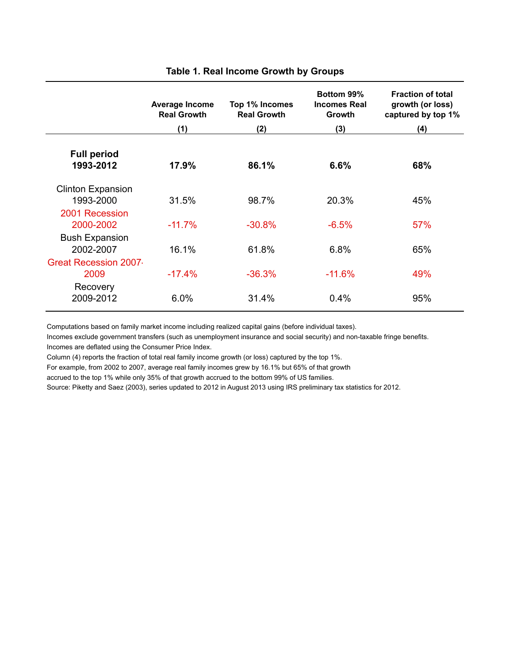|                                                 | Average Income<br><b>Real Growth</b> | Top 1% Incomes<br><b>Real Growth</b> | Bottom 99%<br><b>Incomes Real</b><br><b>Growth</b> | <b>Fraction of total</b><br>growth (or loss)<br>captured by top 1% |
|-------------------------------------------------|--------------------------------------|--------------------------------------|----------------------------------------------------|--------------------------------------------------------------------|
|                                                 | (1)                                  | (2)                                  | (3)                                                | (4)                                                                |
| <b>Full period</b><br>1993-2012                 | 17.9%                                | 86.1%                                | 6.6%                                               | 68%                                                                |
| <b>Clinton Expansion</b><br>1993-2000           | 31.5%                                | 98.7%                                | 20.3%                                              | 45%                                                                |
| 2001 Recession<br>2000-2002                     | $-11.7%$                             | $-30.8%$                             | $-6.5%$                                            | 57%                                                                |
| <b>Bush Expansion</b><br>2002-2007              | 16.1%                                | 61.8%                                | 6.8%                                               | 65%                                                                |
| <b>Great Recession 2007</b><br>2009<br>Recovery | $-17.4%$                             | $-36.3%$                             | $-11.6%$                                           | 49%                                                                |
| 2009-2012                                       | 6.0%                                 | 31.4%                                | 0.4%                                               | 95%                                                                |

#### **Table 1. Real Income Growth by Groups**

Computations based on family market income including realized capital gains (before individual taxes).

Incomes exclude government transfers (such as unemployment insurance and social security) and non-taxable fringe benefits. Incomes are deflated using the Consumer Price Index.

Column (4) reports the fraction of total real family income growth (or loss) captured by the top 1%.

For example, from 2002 to 2007, average real family incomes grew by 16.1% but 65% of that growth

accrued to the top 1% while only 35% of that growth accrued to the bottom 99% of US families.

Source: Piketty and Saez (2003), series updated to 2012 in August 2013 using IRS preliminary tax statistics for 2012.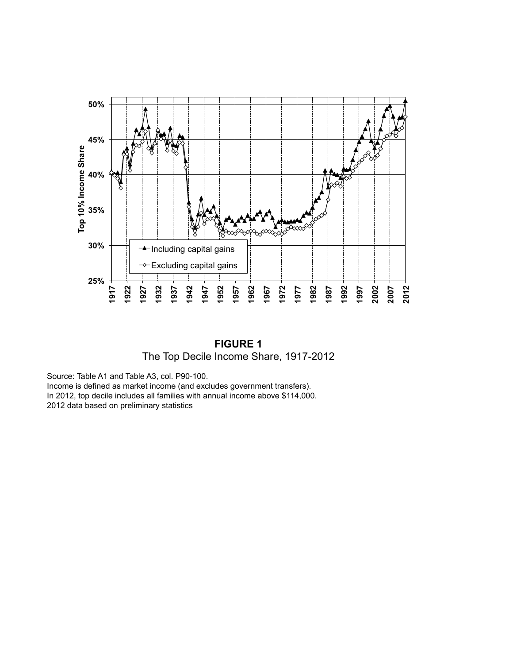

**FIGURE 1** The Top Decile Income Share, 1917-2012

Source: Table A1 and Table A3, col. P90-100. Income is defined as market income (and excludes government transfers). In 2012, top decile includes all families with annual income above \$114,000. 2012 data based on preliminary statistics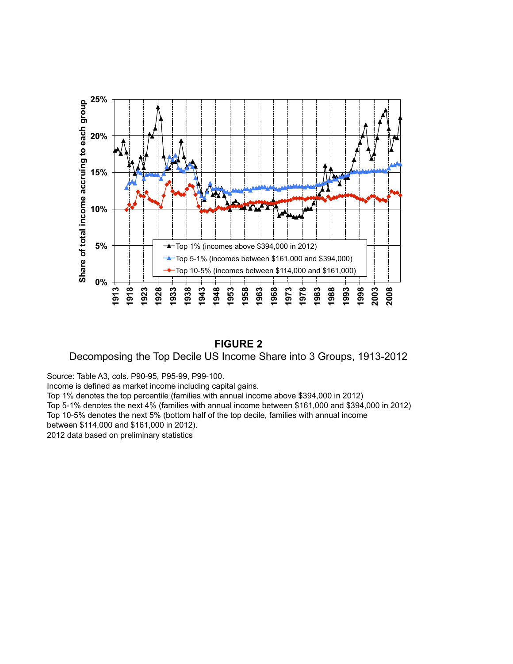

### **FIGURE 2**

Decomposing the Top Decile US Income Share into 3 Groups, 1913-2012

Source: Table A3, cols. P90-95, P95-99, P99-100.

Income is defined as market income including capital gains.

Top 1% denotes the top percentile (families with annual income above \$394,000 in 2012)

Top 5-1% denotes the next 4% (families with annual income between \$161,000 and \$394,000 in 2012)

Top 10-5% denotes the next 5% (bottom half of the top decile, families with annual income

between \$114,000 and \$161,000 in 2012).

2012 data based on preliminary statistics